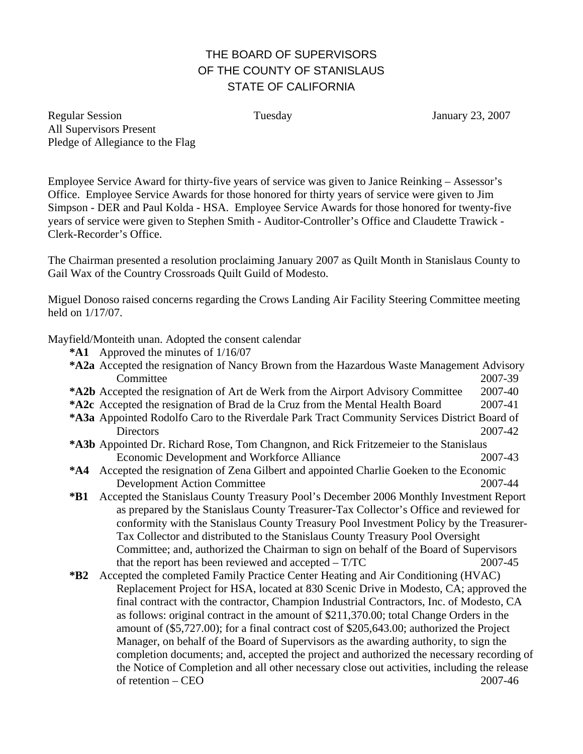## THE BOARD OF SUPERVISORS OF THE COUNTY OF STANISLAUS STATE OF CALIFORNIA

Regular Session Tuesday January 23, 2007 All Supervisors Present Pledge of Allegiance to the Flag

Employee Service Award for thirty-five years of service was given to Janice Reinking – Assessor's Office. Employee Service Awards for those honored for thirty years of service were given to Jim Simpson - DER and Paul Kolda - HSA. Employee Service Awards for those honored for twenty-five years of service were given to Stephen Smith - Auditor-Controller's Office and Claudette Trawick - Clerk-Recorder's Office.

The Chairman presented a resolution proclaiming January 2007 as Quilt Month in Stanislaus County to Gail Wax of the Country Crossroads Quilt Guild of Modesto.

Miguel Donoso raised concerns regarding the Crows Landing Air Facility Steering Committee meeting held on 1/17/07.

Mayfield/Monteith unan. Adopted the consent calendar

**\*A1** Approved the minutes of 1/16/07

| *A2a Accepted the resignation of Nancy Brown from the Hazardous Waste Management Advisory    |                                                                                              |         |
|----------------------------------------------------------------------------------------------|----------------------------------------------------------------------------------------------|---------|
|                                                                                              | Committee                                                                                    | 2007-39 |
|                                                                                              | *A2b Accepted the resignation of Art de Werk from the Airport Advisory Committee             | 2007-40 |
|                                                                                              | *A2c Accepted the resignation of Brad de la Cruz from the Mental Health Board                | 2007-41 |
| *A3a Appointed Rodolfo Caro to the Riverdale Park Tract Community Services District Board of |                                                                                              |         |
|                                                                                              | <b>Directors</b>                                                                             | 2007-42 |
|                                                                                              | *A3b Appointed Dr. Richard Rose, Tom Changnon, and Rick Fritzemeier to the Stanislaus        |         |
|                                                                                              | Economic Development and Workforce Alliance                                                  | 2007-43 |
|                                                                                              | *A4 Accepted the resignation of Zena Gilbert and appointed Charlie Goeken to the Economic    |         |
|                                                                                              | <b>Development Action Committee</b>                                                          | 2007-44 |
| $*B1$                                                                                        | Accepted the Stanislaus County Treasury Pool's December 2006 Monthly Investment Report       |         |
|                                                                                              | as prepared by the Stanislaus County Treasurer-Tax Collector's Office and reviewed for       |         |
|                                                                                              | conformity with the Stanislaus County Treasury Pool Investment Policy by the Treasure-       |         |
|                                                                                              | Tax Collector and distributed to the Stanislaus County Treasury Pool Oversight               |         |
|                                                                                              | Committee; and, authorized the Chairman to sign on behalf of the Board of Supervisors        |         |
|                                                                                              | that the report has been reviewed and accepted $- T/TC$                                      | 2007-45 |
| $*B2$                                                                                        | Accepted the completed Family Practice Center Heating and Air Conditioning (HVAC)            |         |
|                                                                                              | Replacement Project for HSA, located at 830 Scenic Drive in Modesto, CA; approved the        |         |
|                                                                                              | final contract with the contractor, Champion Industrial Contractors, Inc. of Modesto, CA     |         |
|                                                                                              | as follows: original contract in the amount of \$211,370.00; total Change Orders in the      |         |
|                                                                                              | amount of (\$5,727.00); for a final contract cost of \$205,643.00; authorized the Project    |         |
|                                                                                              | Manager, on behalf of the Board of Supervisors as the awarding authority, to sign the        |         |
|                                                                                              | completion documents; and, accepted the project and authorized the necessary recording of    |         |
|                                                                                              | the Notice of Completion and all other necessary close out activities, including the release |         |
|                                                                                              | of retention – CEO                                                                           | 2007-46 |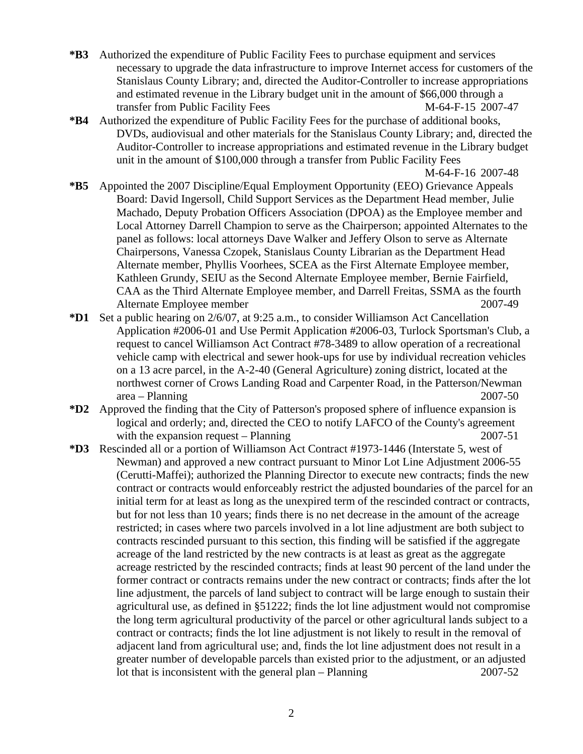- **\*B3** Authorized the expenditure of Public Facility Fees to purchase equipment and services necessary to upgrade the data infrastructure to improve Internet access for customers of the Stanislaus County Library; and, directed the Auditor-Controller to increase appropriations and estimated revenue in the Library budget unit in the amount of \$66,000 through a transfer from Public Facility Fees M-64-F-15 2007-47
- **\*B4** Authorized the expenditure of Public Facility Fees for the purchase of additional books, DVDs, audiovisual and other materials for the Stanislaus County Library; and, directed the Auditor-Controller to increase appropriations and estimated revenue in the Library budget unit in the amount of \$100,000 through a transfer from Public Facility Fees

M-64-F-16 2007-48

- **\*B5** Appointed the 2007 Discipline/Equal Employment Opportunity (EEO) Grievance Appeals Board: David Ingersoll, Child Support Services as the Department Head member, Julie Machado, Deputy Probation Officers Association (DPOA) as the Employee member and Local Attorney Darrell Champion to serve as the Chairperson; appointed Alternates to the panel as follows: local attorneys Dave Walker and Jeffery Olson to serve as Alternate Chairpersons, Vanessa Czopek, Stanislaus County Librarian as the Department Head Alternate member, Phyllis Voorhees, SCEA as the First Alternate Employee member, Kathleen Grundy, SEIU as the Second Alternate Employee member, Bernie Fairfield, CAA as the Third Alternate Employee member, and Darrell Freitas, SSMA as the fourth Alternate Employee member 2007-49
- **\*D1** Set a public hearing on 2/6/07, at 9:25 a.m., to consider Williamson Act Cancellation Application #2006-01 and Use Permit Application #2006-03, Turlock Sportsman's Club, a request to cancel Williamson Act Contract #78-3489 to allow operation of a recreational vehicle camp with electrical and sewer hook-ups for use by individual recreation vehicles on a 13 acre parcel, in the A-2-40 (General Agriculture) zoning district, located at the northwest corner of Crows Landing Road and Carpenter Road, in the Patterson/Newman area – Planning 2007-50
- **\*D2** Approved the finding that the City of Patterson's proposed sphere of influence expansion is logical and orderly; and, directed the CEO to notify LAFCO of the County's agreement with the expansion request – Planning  $2007-51$
- **\*D3** Rescinded all or a portion of Williamson Act Contract #1973-1446 (Interstate 5, west of Newman) and approved a new contract pursuant to Minor Lot Line Adjustment 2006-55 (Cerutti-Maffei); authorized the Planning Director to execute new contracts; finds the new contract or contracts would enforceably restrict the adjusted boundaries of the parcel for an initial term for at least as long as the unexpired term of the rescinded contract or contracts, but for not less than 10 years; finds there is no net decrease in the amount of the acreage restricted; in cases where two parcels involved in a lot line adjustment are both subject to contracts rescinded pursuant to this section, this finding will be satisfied if the aggregate acreage of the land restricted by the new contracts is at least as great as the aggregate acreage restricted by the rescinded contracts; finds at least 90 percent of the land under the former contract or contracts remains under the new contract or contracts; finds after the lot line adjustment, the parcels of land subject to contract will be large enough to sustain their agricultural use, as defined in §51222; finds the lot line adjustment would not compromise the long term agricultural productivity of the parcel or other agricultural lands subject to a contract or contracts; finds the lot line adjustment is not likely to result in the removal of adjacent land from agricultural use; and, finds the lot line adjustment does not result in a greater number of developable parcels than existed prior to the adjustment, or an adjusted lot that is inconsistent with the general plan – Planning 2007-52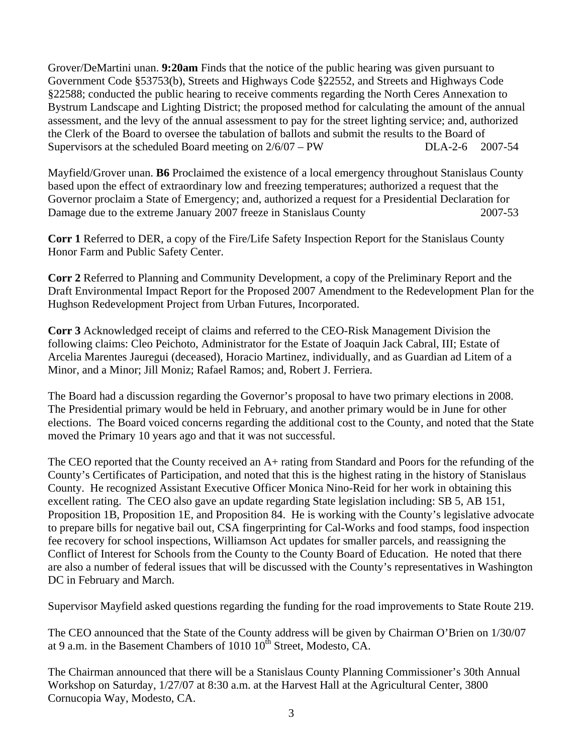Grover/DeMartini unan. **9:20am** Finds that the notice of the public hearing was given pursuant to Government Code §53753(b), Streets and Highways Code §22552, and Streets and Highways Code §22588; conducted the public hearing to receive comments regarding the North Ceres Annexation to Bystrum Landscape and Lighting District; the proposed method for calculating the amount of the annual assessment, and the levy of the annual assessment to pay for the street lighting service; and, authorized the Clerk of the Board to oversee the tabulation of ballots and submit the results to the Board of Supervisors at the scheduled Board meeting on  $2/6/07 - PW$  DLA-2-6 2007-54

Mayfield/Grover unan. **B6** Proclaimed the existence of a local emergency throughout Stanislaus County based upon the effect of extraordinary low and freezing temperatures; authorized a request that the Governor proclaim a State of Emergency; and, authorized a request for a Presidential Declaration for Damage due to the extreme January 2007 freeze in Stanislaus County 2007-53

**Corr 1** Referred to DER, a copy of the Fire/Life Safety Inspection Report for the Stanislaus County Honor Farm and Public Safety Center.

**Corr 2** Referred to Planning and Community Development, a copy of the Preliminary Report and the Draft Environmental Impact Report for the Proposed 2007 Amendment to the Redevelopment Plan for the Hughson Redevelopment Project from Urban Futures, Incorporated.

**Corr 3** Acknowledged receipt of claims and referred to the CEO-Risk Management Division the following claims: Cleo Peichoto, Administrator for the Estate of Joaquin Jack Cabral, III; Estate of Arcelia Marentes Jauregui (deceased), Horacio Martinez, individually, and as Guardian ad Litem of a Minor, and a Minor; Jill Moniz; Rafael Ramos; and, Robert J. Ferriera.

The Board had a discussion regarding the Governor's proposal to have two primary elections in 2008. The Presidential primary would be held in February, and another primary would be in June for other elections. The Board voiced concerns regarding the additional cost to the County, and noted that the State moved the Primary 10 years ago and that it was not successful.

The CEO reported that the County received an A+ rating from Standard and Poors for the refunding of the County's Certificates of Participation, and noted that this is the highest rating in the history of Stanislaus County. He recognized Assistant Executive Officer Monica Nino-Reid for her work in obtaining this excellent rating. The CEO also gave an update regarding State legislation including: SB 5, AB 151, Proposition 1B, Proposition 1E, and Proposition 84. He is working with the County's legislative advocate to prepare bills for negative bail out, CSA fingerprinting for Cal-Works and food stamps, food inspection fee recovery for school inspections, Williamson Act updates for smaller parcels, and reassigning the Conflict of Interest for Schools from the County to the County Board of Education. He noted that there are also a number of federal issues that will be discussed with the County's representatives in Washington DC in February and March.

Supervisor Mayfield asked questions regarding the funding for the road improvements to State Route 219.

The CEO announced that the State of the County address will be given by Chairman O'Brien on 1/30/07 at 9 a.m. in the Basement Chambers of 1010  $10^{th}$  Street, Modesto, CA.

The Chairman announced that there will be a Stanislaus County Planning Commissioner's 30th Annual Workshop on Saturday, 1/27/07 at 8:30 a.m. at the Harvest Hall at the Agricultural Center, 3800 Cornucopia Way, Modesto, CA.